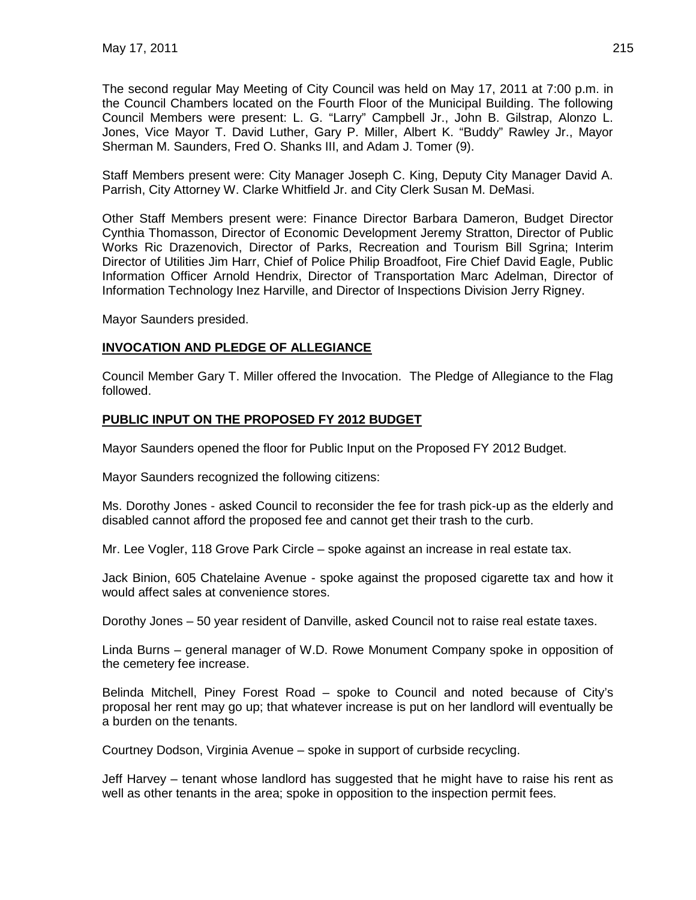The second regular May Meeting of City Council was held on May 17, 2011 at 7:00 p.m. in the Council Chambers located on the Fourth Floor of the Municipal Building. The following Council Members were present: L. G. "Larry" Campbell Jr., John B. Gilstrap, Alonzo L. Jones, Vice Mayor T. David Luther, Gary P. Miller, Albert K. "Buddy" Rawley Jr., Mayor Sherman M. Saunders, Fred O. Shanks III, and Adam J. Tomer (9).

Staff Members present were: City Manager Joseph C. King, Deputy City Manager David A. Parrish, City Attorney W. Clarke Whitfield Jr. and City Clerk Susan M. DeMasi.

Other Staff Members present were: Finance Director Barbara Dameron, Budget Director Cynthia Thomasson, Director of Economic Development Jeremy Stratton, Director of Public Works Ric Drazenovich, Director of Parks, Recreation and Tourism Bill Sgrina; Interim Director of Utilities Jim Harr, Chief of Police Philip Broadfoot, Fire Chief David Eagle, Public Information Officer Arnold Hendrix, Director of Transportation Marc Adelman, Director of Information Technology Inez Harville, and Director of Inspections Division Jerry Rigney.

Mayor Saunders presided.

### **INVOCATION AND PLEDGE OF ALLEGIANCE**

Council Member Gary T. Miller offered the Invocation. The Pledge of Allegiance to the Flag followed.

# **PUBLIC INPUT ON THE PROPOSED FY 2012 BUDGET**

Mayor Saunders opened the floor for Public Input on the Proposed FY 2012 Budget.

Mayor Saunders recognized the following citizens:

Ms. Dorothy Jones - asked Council to reconsider the fee for trash pick-up as the elderly and disabled cannot afford the proposed fee and cannot get their trash to the curb.

Mr. Lee Vogler, 118 Grove Park Circle – spoke against an increase in real estate tax.

Jack Binion, 605 Chatelaine Avenue - spoke against the proposed cigarette tax and how it would affect sales at convenience stores.

Dorothy Jones – 50 year resident of Danville, asked Council not to raise real estate taxes.

Linda Burns – general manager of W.D. Rowe Monument Company spoke in opposition of the cemetery fee increase.

Belinda Mitchell, Piney Forest Road – spoke to Council and noted because of City's proposal her rent may go up; that whatever increase is put on her landlord will eventually be a burden on the tenants.

Courtney Dodson, Virginia Avenue – spoke in support of curbside recycling.

Jeff Harvey – tenant whose landlord has suggested that he might have to raise his rent as well as other tenants in the area; spoke in opposition to the inspection permit fees.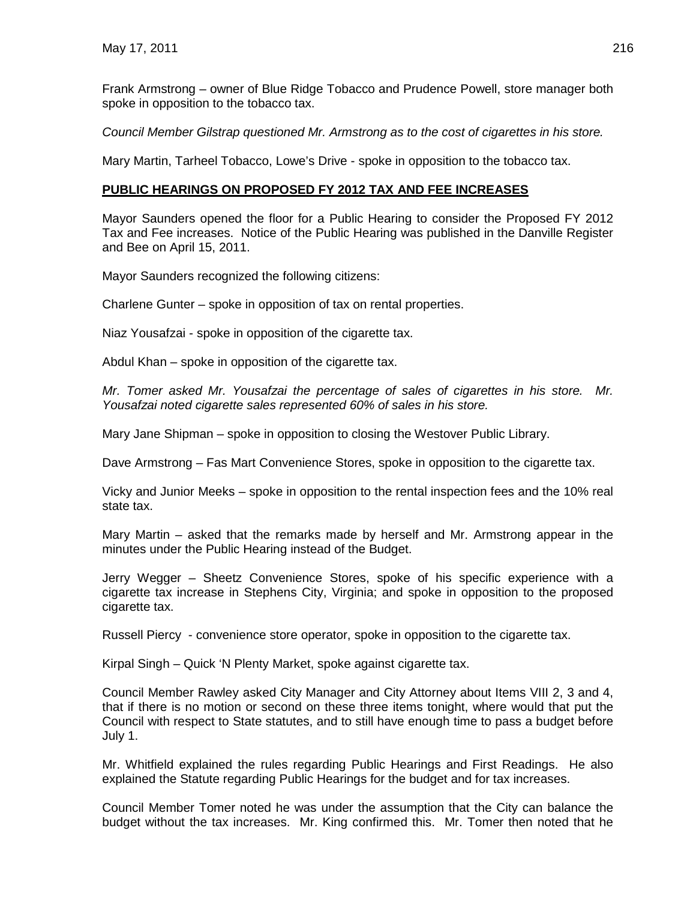Frank Armstrong – owner of Blue Ridge Tobacco and Prudence Powell, store manager both spoke in opposition to the tobacco tax.

*Council Member Gilstrap questioned Mr. Armstrong as to the cost of cigarettes in his store.*

Mary Martin, Tarheel Tobacco, Lowe's Drive - spoke in opposition to the tobacco tax.

#### **PUBLIC HEARINGS ON PROPOSED FY 2012 TAX AND FEE INCREASES**

Mayor Saunders opened the floor for a Public Hearing to consider the Proposed FY 2012 Tax and Fee increases. Notice of the Public Hearing was published in the Danville Register and Bee on April 15, 2011.

Mayor Saunders recognized the following citizens:

Charlene Gunter – spoke in opposition of tax on rental properties.

Niaz Yousafzai - spoke in opposition of the cigarette tax.

Abdul Khan – spoke in opposition of the cigarette tax.

*Mr. Tomer asked Mr. Yousafzai the percentage of sales of cigarettes in his store. Mr. Yousafzai noted cigarette sales represented 60% of sales in his store.*

Mary Jane Shipman – spoke in opposition to closing the Westover Public Library.

Dave Armstrong – Fas Mart Convenience Stores, spoke in opposition to the cigarette tax.

Vicky and Junior Meeks – spoke in opposition to the rental inspection fees and the 10% real state tax.

Mary Martin – asked that the remarks made by herself and Mr. Armstrong appear in the minutes under the Public Hearing instead of the Budget.

Jerry Wegger – Sheetz Convenience Stores, spoke of his specific experience with a cigarette tax increase in Stephens City, Virginia; and spoke in opposition to the proposed cigarette tax.

Russell Piercy - convenience store operator, spoke in opposition to the cigarette tax.

Kirpal Singh – Quick 'N Plenty Market, spoke against cigarette tax.

Council Member Rawley asked City Manager and City Attorney about Items VIII 2, 3 and 4, that if there is no motion or second on these three items tonight, where would that put the Council with respect to State statutes, and to still have enough time to pass a budget before July 1.

Mr. Whitfield explained the rules regarding Public Hearings and First Readings. He also explained the Statute regarding Public Hearings for the budget and for tax increases.

Council Member Tomer noted he was under the assumption that the City can balance the budget without the tax increases. Mr. King confirmed this. Mr. Tomer then noted that he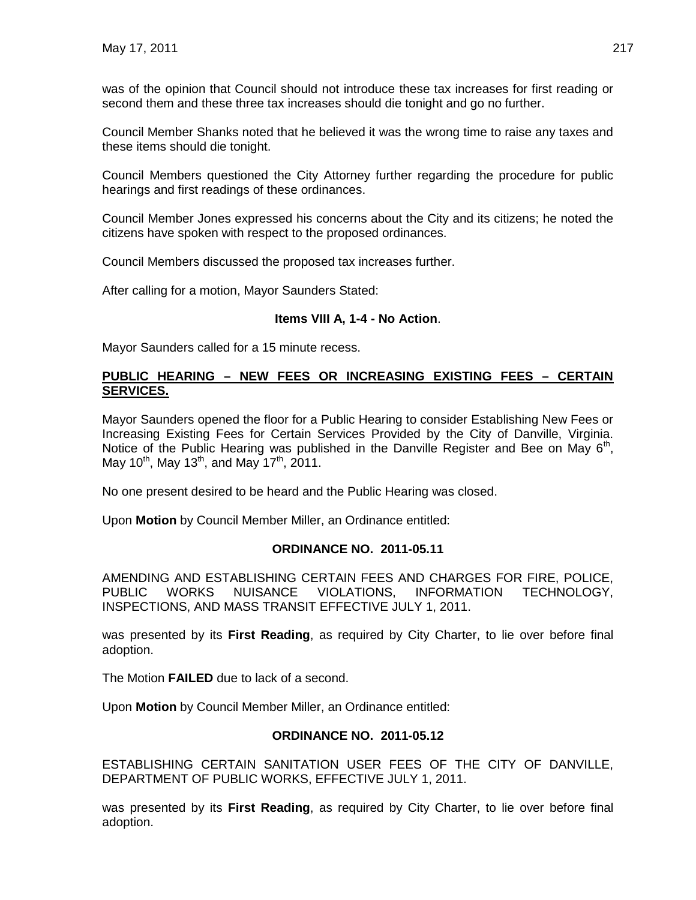was of the opinion that Council should not introduce these tax increases for first reading or second them and these three tax increases should die tonight and go no further.

Council Member Shanks noted that he believed it was the wrong time to raise any taxes and these items should die tonight.

Council Members questioned the City Attorney further regarding the procedure for public hearings and first readings of these ordinances.

Council Member Jones expressed his concerns about the City and its citizens; he noted the citizens have spoken with respect to the proposed ordinances.

Council Members discussed the proposed tax increases further.

After calling for a motion, Mayor Saunders Stated:

#### **Items VIII A, 1-4 - No Action**.

Mayor Saunders called for a 15 minute recess.

#### **PUBLIC HEARING – NEW FEES OR INCREASING EXISTING FEES – CERTAIN SERVICES.**

Mayor Saunders opened the floor for a Public Hearing to consider Establishing New Fees or Increasing Existing Fees for Certain Services Provided by the City of Danville, Virginia. Notice of the Public Hearing was published in the Danville Register and Bee on May  $6<sup>th</sup>$ , May 10<sup>th</sup>, May 13<sup>th</sup>, and May 17<sup>th</sup>, 2011.

No one present desired to be heard and the Public Hearing was closed.

Upon **Motion** by Council Member Miller, an Ordinance entitled:

### **ORDINANCE NO. 2011-05.11**

AMENDING AND ESTABLISHING CERTAIN FEES AND CHARGES FOR FIRE, POLICE, PUBLIC WORKS NUISANCE VIOLATIONS, INFORMATION TECHNOLOGY, INSPECTIONS, AND MASS TRANSIT EFFECTIVE JULY 1, 2011.

was presented by its **First Reading**, as required by City Charter, to lie over before final adoption.

The Motion **FAILED** due to lack of a second.

Upon **Motion** by Council Member Miller, an Ordinance entitled:

#### **ORDINANCE NO. 2011-05.12**

ESTABLISHING CERTAIN SANITATION USER FEES OF THE CITY OF DANVILLE, DEPARTMENT OF PUBLIC WORKS, EFFECTIVE JULY 1, 2011.

was presented by its **First Reading**, as required by City Charter, to lie over before final adoption.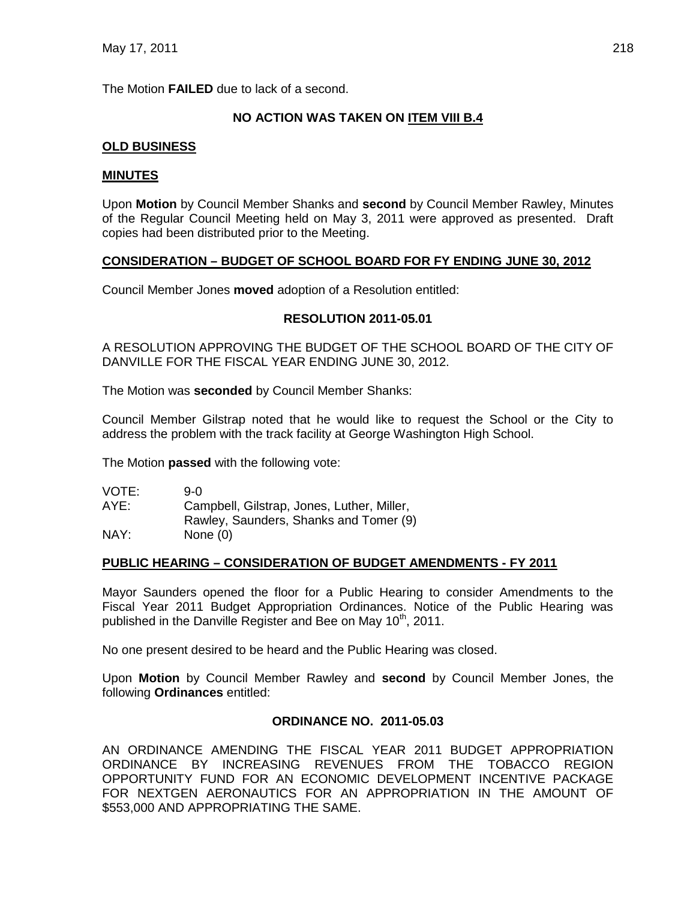The Motion **FAILED** due to lack of a second.

# **NO ACTION WAS TAKEN ON ITEM VIII B.4**

# **OLD BUSINESS**

### **MINUTES**

Upon **Motion** by Council Member Shanks and **second** by Council Member Rawley, Minutes of the Regular Council Meeting held on May 3, 2011 were approved as presented. Draft copies had been distributed prior to the Meeting.

# **CONSIDERATION – BUDGET OF SCHOOL BOARD FOR FY ENDING JUNE 30, 2012**

Council Member Jones **moved** adoption of a Resolution entitled:

### **RESOLUTION 2011-05.01**

A RESOLUTION APPROVING THE BUDGET OF THE SCHOOL BOARD OF THE CITY OF DANVILLE FOR THE FISCAL YEAR ENDING JUNE 30, 2012.

The Motion was **seconded** by Council Member Shanks:

Council Member Gilstrap noted that he would like to request the School or the City to address the problem with the track facility at George Washington High School.

The Motion **passed** with the following vote:

| VOTE: | 9-0                                        |
|-------|--------------------------------------------|
| AYE:  | Campbell, Gilstrap, Jones, Luther, Miller, |
|       | Rawley, Saunders, Shanks and Tomer (9)     |
| NAY:  | None $(0)$                                 |

### **PUBLIC HEARING – CONSIDERATION OF BUDGET AMENDMENTS - FY 2011**

Mayor Saunders opened the floor for a Public Hearing to consider Amendments to the Fiscal Year 2011 Budget Appropriation Ordinances. Notice of the Public Hearing was published in the Danville Register and Bee on May  $10<sup>th</sup>$ , 2011.

No one present desired to be heard and the Public Hearing was closed.

Upon **Motion** by Council Member Rawley and **second** by Council Member Jones, the following **Ordinances** entitled:

### **ORDINANCE NO. 2011-05.03**

AN ORDINANCE AMENDING THE FISCAL YEAR 2011 BUDGET APPROPRIATION ORDINANCE BY INCREASING REVENUES FROM THE TOBACCO REGION OPPORTUNITY FUND FOR AN ECONOMIC DEVELOPMENT INCENTIVE PACKAGE FOR NEXTGEN AERONAUTICS FOR AN APPROPRIATION IN THE AMOUNT OF \$553,000 AND APPROPRIATING THE SAME.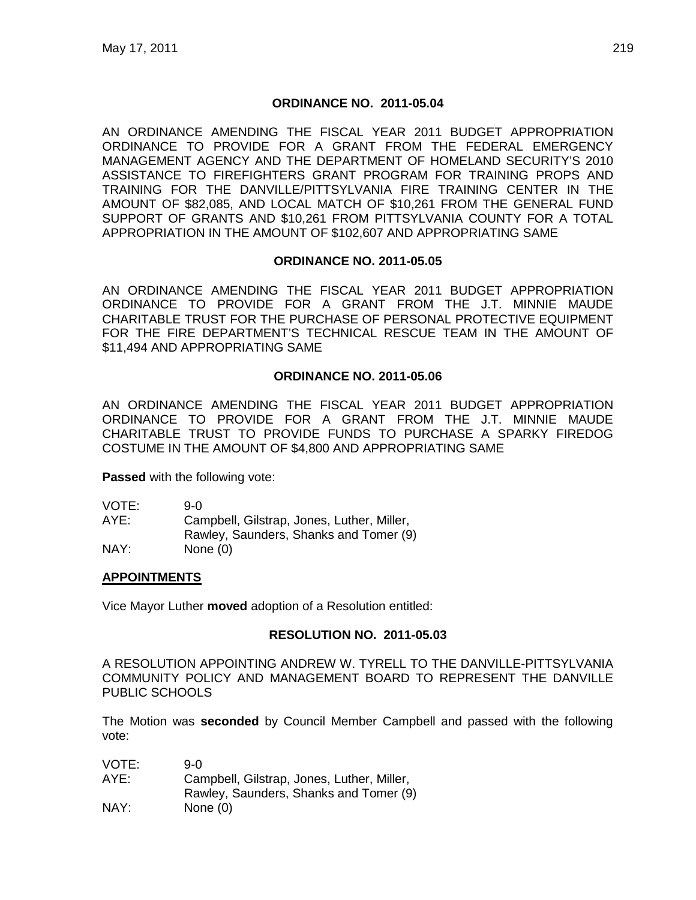#### **ORDINANCE NO. 2011-05.04**

AN ORDINANCE AMENDING THE FISCAL YEAR 2011 BUDGET APPROPRIATION ORDINANCE TO PROVIDE FOR A GRANT FROM THE FEDERAL EMERGENCY MANAGEMENT AGENCY AND THE DEPARTMENT OF HOMELAND SECURITY'S 2010 ASSISTANCE TO FIREFIGHTERS GRANT PROGRAM FOR TRAINING PROPS AND TRAINING FOR THE DANVILLE/PITTSYLVANIA FIRE TRAINING CENTER IN THE AMOUNT OF \$82,085, AND LOCAL MATCH OF \$10,261 FROM THE GENERAL FUND SUPPORT OF GRANTS AND \$10,261 FROM PITTSYLVANIA COUNTY FOR A TOTAL APPROPRIATION IN THE AMOUNT OF \$102,607 AND APPROPRIATING SAME

#### **ORDINANCE NO. 2011-05.05**

AN ORDINANCE AMENDING THE FISCAL YEAR 2011 BUDGET APPROPRIATION ORDINANCE TO PROVIDE FOR A GRANT FROM THE J.T. MINNIE MAUDE CHARITABLE TRUST FOR THE PURCHASE OF PERSONAL PROTECTIVE EQUIPMENT FOR THE FIRE DEPARTMENT'S TECHNICAL RESCUE TEAM IN THE AMOUNT OF \$11,494 AND APPROPRIATING SAME

#### **ORDINANCE NO. 2011-05.06**

AN ORDINANCE AMENDING THE FISCAL YEAR 2011 BUDGET APPROPRIATION ORDINANCE TO PROVIDE FOR A GRANT FROM THE J.T. MINNIE MAUDE CHARITABLE TRUST TO PROVIDE FUNDS TO PURCHASE A SPARKY FIREDOG COSTUME IN THE AMOUNT OF \$4,800 AND APPROPRIATING SAME

**Passed** with the following vote:

| VOTE: | 9-0.                                       |
|-------|--------------------------------------------|
| AYE:  | Campbell, Gilstrap, Jones, Luther, Miller, |
|       | Rawley, Saunders, Shanks and Tomer (9)     |
| NAY:  | None $(0)$                                 |

### **APPOINTMENTS**

Vice Mayor Luther **moved** adoption of a Resolution entitled:

### **RESOLUTION NO. 2011-05.03**

A RESOLUTION APPOINTING ANDREW W. TYRELL TO THE DANVILLE-PITTSYLVANIA COMMUNITY POLICY AND MANAGEMENT BOARD TO REPRESENT THE DANVILLE PUBLIC SCHOOLS

The Motion was **seconded** by Council Member Campbell and passed with the following vote:

| VOTE: | 9-0.                                       |
|-------|--------------------------------------------|
| AYE:  | Campbell, Gilstrap, Jones, Luther, Miller, |
|       | Rawley, Saunders, Shanks and Tomer (9)     |
| NAY:  | None $(0)$                                 |